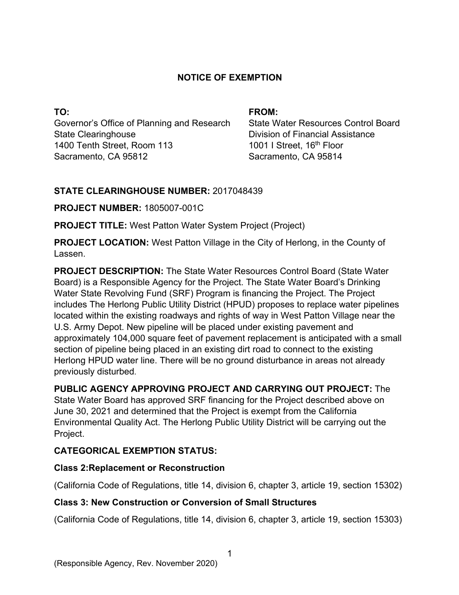### **NOTICE OF EXEMPTION**

**TO:**  Governor's Office of Planning and Research State Clearinghouse 1400 Tenth Street, Room 113 Sacramento, CA 95812

#### **FROM:**

State Water Resources Control Board Division of Financial Assistance 1001 I Street, 16<sup>th</sup> Floor Sacramento, CA 95814

### **STATE CLEARINGHOUSE NUMBER:** 2017048439

**PROJECT NUMBER:** 1805007-001C

**PROJECT TITLE:** West Patton Water System Project (Project)

**PROJECT LOCATION:** West Patton Village in the City of Herlong, in the County of Lassen.

**PROJECT DESCRIPTION:** The State Water Resources Control Board (State Water Board) is a Responsible Agency for the Project. The State Water Board's Drinking Water State Revolving Fund (SRF) Program is financing the Project. The Project includes The Herlong Public Utility District (HPUD) proposes to replace water pipelines located within the existing roadways and rights of way in West Patton Village near the U.S. Army Depot. New pipeline will be placed under existing pavement and approximately 104,000 square feet of pavement replacement is anticipated with a small section of pipeline being placed in an existing dirt road to connect to the existing Herlong HPUD water line. There will be no ground disturbance in areas not already previously disturbed.

**PUBLIC AGENCY APPROVING PROJECT AND CARRYING OUT PROJECT:** The State Water Board has approved SRF financing for the Project described above on June 30, 2021 and determined that the Project is exempt from the California Environmental Quality Act. The Herlong Public Utility District will be carrying out the Project.

# **CATEGORICAL EXEMPTION STATUS:**

# **Class 2:Replacement or Reconstruction**

(California Code of Regulations, title 14, division 6, chapter 3, article 19, section 15302)

# **Class 3: New Construction or Conversion of Small Structures**

(California Code of Regulations, title 14, division 6, chapter 3, article 19, section 15303)